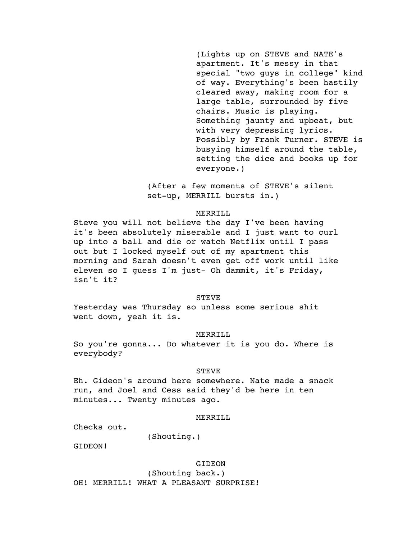(Lights up on STEVE and NATE's apartment. It's messy in that special "two guys in college" kind of way. Everything's been hastily cleared away, making room for a large table, surrounded by five chairs. Music is playing. Something jaunty and upbeat, but with very depressing lyrics. Possibly by Frank Turner. STEVE is busying himself around the table, setting the dice and books up for everyone.)

(After a few moments of STEVE's silent set-up, MERRILL bursts in.)

## MERRILL

Steve you will not believe the day I've been having it's been absolutely miserable and I just want to curl up into a ball and die or watch Netflix until I pass out but I locked myself out of my apartment this morning and Sarah doesn't even get off work until like eleven so I guess I'm just- Oh dammit, it's Friday, isn't it?

### STEVE

Yesterday was Thursday so unless some serious shit went down, yeah it is.

#### MERRILL

So you're gonna... Do whatever it is you do. Where is everybody?

### **STEVE**

Eh. Gideon's around here somewhere. Nate made a snack run, and Joel and Cess said they'd be here in ten minutes... Twenty minutes ago.

## MERRILL

Checks out.

(Shouting.)

GIDEON!

### GIDEON

(Shouting back.)

OH! MERRILL! WHAT A PLEASANT SURPRISE!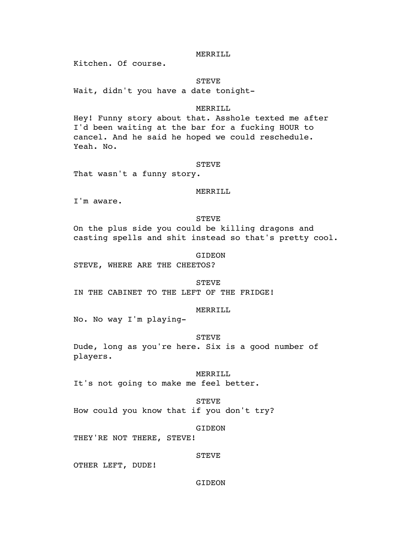## MERRILL

Kitchen. Of course.

## **STEVE**

Wait, didn't you have a date tonight-

## MERRILL

Hey! Funny story about that. Asshole texted me after I'd been waiting at the bar for a fucking HOUR to cancel. And he said he hoped we could reschedule. Yeah. No.

## STEVE

That wasn't a funny story.

## MERRILL

I'm aware.

### STEVE

On the plus side you could be killing dragons and casting spells and shit instead so that's pretty cool.

### GIDEON

STEVE, WHERE ARE THE CHEETOS?

STEVE IN THE CABINET TO THE LEFT OF THE FRIDGE!

## MERRILL

No. No way I'm playing-

## STEVE

Dude, long as you're here. Six is a good number of players.

### MERRILL

It's not going to make me feel better.

## STEVE

How could you know that if you don't try?

## GIDEON

THEY'RE NOT THERE, STEVE!

### STEVE

OTHER LEFT, DUDE!

## GIDEON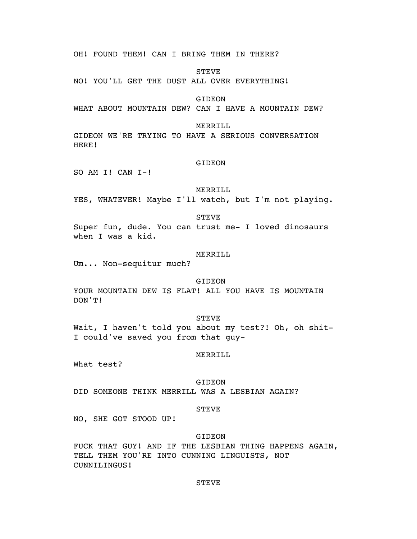OH! FOUND THEM! CAN I BRING THEM IN THERE?

**STEVE** 

NO! YOU'LL GET THE DUST ALL OVER EVERYTHING!

GIDEON

WHAT ABOUT MOUNTAIN DEW? CAN I HAVE A MOUNTAIN DEW?

## MERRILL

GIDEON WE'RE TRYING TO HAVE A SERIOUS CONVERSATION HERE!

### GIDEON

SO AM I! CAN I-!

## MERRILL

YES, WHATEVER! Maybe I'll watch, but I'm not playing.

STEVE

Super fun, dude. You can trust me- I loved dinosaurs when I was a kid.

### MERRILL

Um... Non-sequitur much?

## GIDEON

YOUR MOUNTAIN DEW IS FLAT! ALL YOU HAVE IS MOUNTAIN DON'T!

## STEVE

Wait, I haven't told you about my test?! Oh, oh shit-I could've saved you from that guy-

### MERRILL

What test?

## GIDEON

DID SOMEONE THINK MERRILL WAS A LESBIAN AGAIN?

#### STEVE

NO, SHE GOT STOOD UP!

## GIDEON

FUCK THAT GUY! AND IF THE LESBIAN THING HAPPENS AGAIN, TELL THEM YOU'RE INTO CUNNING LINGUISTS, NOT CUNNILINGUS!

## STEVE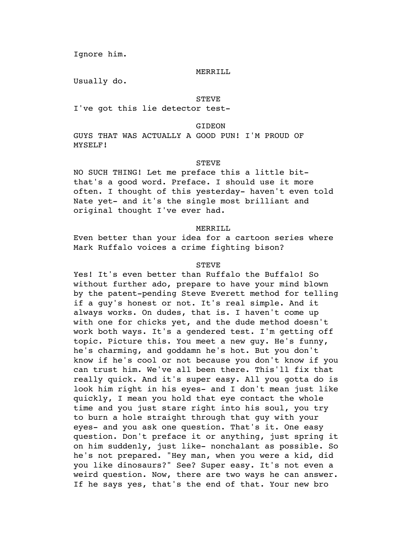Ignore him.

### MERRILL

Usually do.

### STEVE

I've got this lie detector test-

**GIDEON** 

GUYS THAT WAS ACTUALLY A GOOD PUN! I'M PROUD OF MYSELF!

## STEVE

NO SUCH THING! Let me preface this a little bitthat's a good word. Preface. I should use it more often. I thought of this yesterday- haven't even told Nate yet- and it's the single most brilliant and original thought I've ever had.

## MERRILL

Even better than your idea for a cartoon series where Mark Ruffalo voices a crime fighting bison?

## **STEVE**

Yes! It's even better than Ruffalo the Buffalo! So without further ado, prepare to have your mind blown by the patent-pending Steve Everett method for telling if a guy's honest or not. It's real simple. And it always works. On dudes, that is. I haven't come up with one for chicks yet, and the dude method doesn't work both ways. It's a gendered test. I'm getting off topic. Picture this. You meet a new guy. He's funny, he's charming, and goddamn he's hot. But you don't know if he's cool or not because you don't know if you can trust him. We've all been there. This'll fix that really quick. And it's super easy. All you gotta do is look him right in his eyes- and I don't mean just like quickly, I mean you hold that eye contact the whole time and you just stare right into his soul, you try to burn a hole straight through that guy with your eyes- and you ask one question. That's it. One easy question. Don't preface it or anything, just spring it on him suddenly, just like- nonchalant as possible. So he's not prepared. "Hey man, when you were a kid, did you like dinosaurs?" See? Super easy. It's not even a weird question. Now, there are two ways he can answer. If he says yes, that's the end of that. Your new bro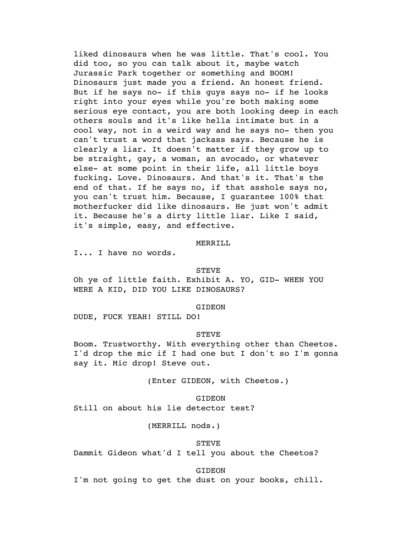liked dinosaurs when he was little. That's cool. You did too, so you can talk about it, maybe watch Jurassic Park together or something and BOOM! Dinosaurs just made you a friend. An honest friend. But if he says no- if this guys says no- if he looks right into your eyes while you're both making some serious eye contact, you are both looking deep in each others souls and it's like hella intimate but in a cool way, not in a weird way and he says no- then you can't trust a word that jackass says. Because he is clearly a liar. It doesn't matter if they grow up to be straight, gay, a woman, an avocado, or whatever else- at some point in their life, all little boys fucking. Love. Dinosaurs. And that's it. That's the end of that. If he says no, if that asshole says no, you can't trust him. Because, I guarantee 100% that motherfucker did like dinosaurs. He just won't admit it. Because he's a dirty little liar. Like I said, it's simple, easy, and effective.

### MERRILL

I... I have no words.

### STEVE

Oh ye of little faith. Exhibit A. YO, GID- WHEN YOU WERE A KID, DID YOU LIKE DINOSAURS?

### GIDEON

DUDE, FUCK YEAH! STILL DO!

### STEVE

Boom. Trustworthy. With everything other than Cheetos. I'd drop the mic if I had one but I don't so I'm gonna say it. Mic drop! Steve out.

(Enter GIDEON, with Cheetos.)

## **GIDEON**

Still on about his lie detector test?

(MERRILL nods.)

#### STEVE

Dammit Gideon what'd I tell you about the Cheetos?

GIDEON

I'm not going to get the dust on your books, chill.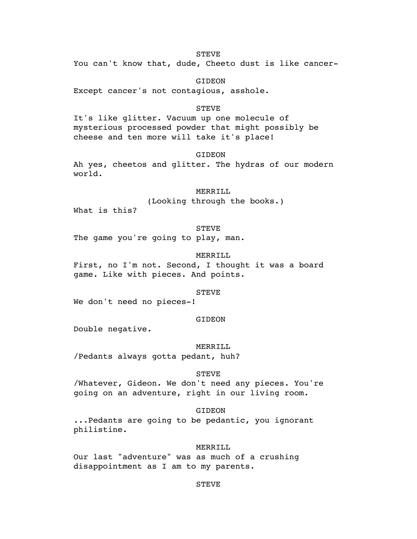## STEVE

You can't know that, dude, Cheeto dust is like cancer-

GIDEON

Except cancer's not contagious, asshole.

## STEVE

It's like glitter. Vacuum up one molecule of mysterious processed powder that might possibly be cheese and ten more will take it's place!

GIDEON

Ah yes, cheetos and glitter. The hydras of our modern world.

## MERRILL

(Looking through the books.)

What is this?

## STEVE

The game you're going to play, man.

## MERRILL

First, no I'm not. Second, I thought it was a board game. Like with pieces. And points.

## STEVE

We don't need no pieces-!

### GIDEON

Double negative.

#### MERRILL

/Pedants always gotta pedant, huh?

### STEVE

/Whatever, Gideon. We don't need any pieces. You're going on an adventure, right in our living room.

## GIDEON

...Pedants are going to be pedantic, you ignorant philistine.

### MERRILL

Our last "adventure" was as much of a crushing disappointment as I am to my parents.

## STEVE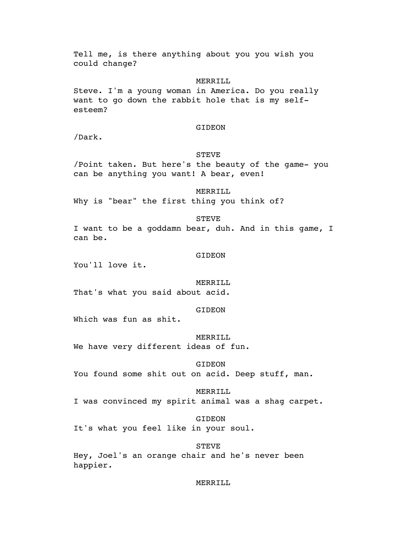Tell me, is there anything about you you wish you could change?

## MERRILL

Steve. I'm a young woman in America. Do you really want to go down the rabbit hole that is my selfesteem?

## GIDEON

/Dark.

## STEVE

/Point taken. But here's the beauty of the game- you can be anything you want! A bear, even!

MERRILL

Why is "bear" the first thing you think of?

## STEVE

I want to be a goddamn bear, duh. And in this game, I can be.

### GIDEON

You'll love it.

## MERRILL

That's what you said about acid.

### GIDEON

Which was fun as shit.

## MERRILL

We have very different ideas of fun.

## GIDEON

You found some shit out on acid. Deep stuff, man.

### MERRILL

I was convinced my spirit animal was a shag carpet.

GIDEON

It's what you feel like in your soul.

#### STEVE

Hey, Joel's an orange chair and he's never been happier.

## MERRILL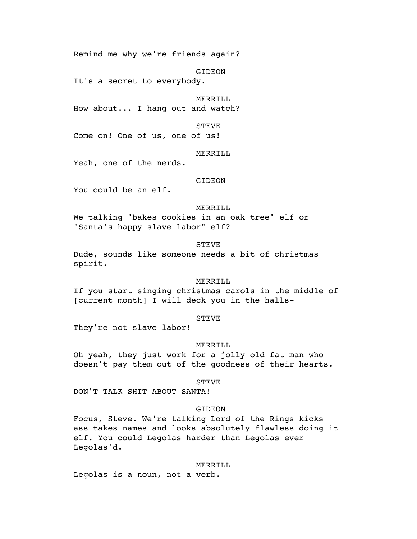Remind me why we're friends again?

GIDEON

It's a secret to everybody.

MERRILL

How about... I hang out and watch?

STEVE

Come on! One of us, one of us!

### MERRILL

Yeah, one of the nerds.

## GIDEON

You could be an elf.

## MERRILL

We talking "bakes cookies in an oak tree" elf or "Santa's happy slave labor" elf?

STEVE

Dude, sounds like someone needs a bit of christmas spirit.

### MERRILL

If you start singing christmas carols in the middle of [current month] I will deck you in the halls-

## STEVE

They're not slave labor!

### MERRILL

Oh yeah, they just work for a jolly old fat man who doesn't pay them out of the goodness of their hearts.

#### STEVE

DON'T TALK SHIT ABOUT SANTA!

## GIDEON

Focus, Steve. We're talking Lord of the Rings kicks ass takes names and looks absolutely flawless doing it elf. You could Legolas harder than Legolas ever Legolas'd.

#### MERRILL

Legolas is a noun, not a verb.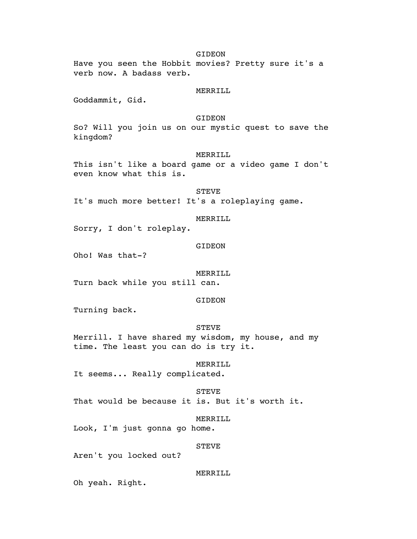## GIDEON

Have you seen the Hobbit movies? Pretty sure it's a verb now. A badass verb.

## MERRILL

Goddammit, Gid.

## GIDEON

So? Will you join us on our mystic quest to save the kingdom?

### MERRILL

This isn't like a board game or a video game I don't even know what this is.

## **STEVE**

It's much more better! It's a roleplaying game.

## MERRILL

Sorry, I don't roleplay.

## GIDEON

Oho! Was that-?

#### MERRILL

Turn back while you still can.

## GIDEON

Turning back.

## STEVE

Merrill. I have shared my wisdom, my house, and my time. The least you can do is try it.

### MERRILL

It seems... Really complicated.

#### STEVE

That would be because it is. But it's worth it.

### MERRILL

Look, I'm just gonna go home.

### STEVE

Aren't you locked out?

## MERRILL

Oh yeah. Right.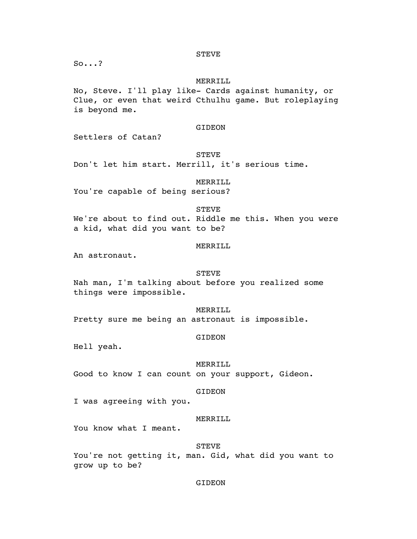So...?

## MERRILL

No, Steve. I'll play like- Cards against humanity, or Clue, or even that weird Cthulhu game. But roleplaying is beyond me.

## GIDEON

Settlers of Catan?

## STEVE

Don't let him start. Merrill, it's serious time.

## MERRILL

You're capable of being serious?

### STEVE

We're about to find out. Riddle me this. When you were a kid, what did you want to be?

## MERRILL

An astronaut.

## STEVE

Nah man, I'm talking about before you realized some things were impossible.

# MERRILL

Pretty sure me being an astronaut is impossible.

## GIDEON

Hell yeah.

#### MERRILL

Good to know I can count on your support, Gideon.

#### GIDEON

I was agreeing with you.

### MERRILL

You know what I meant.

#### STEVE

You're not getting it, man. Gid, what did you want to grow up to be?

## GIDEON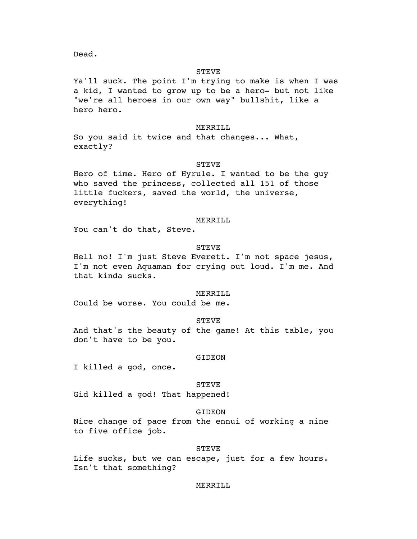Dead.

## STEVE

Ya'll suck. The point I'm trying to make is when I was a kid, I wanted to grow up to be a hero- but not like "we're all heroes in our own way" bullshit, like a hero hero.

### MERRILL

So you said it twice and that changes... What, exactly?

## STEVE

Hero of time. Hero of Hyrule. I wanted to be the guy who saved the princess, collected all 151 of those little fuckers, saved the world, the universe, everything!

### MERRILL

You can't do that, Steve.

## STEVE

Hell no! I'm just Steve Everett. I'm not space jesus, I'm not even Aquaman for crying out loud. I'm me. And that kinda sucks.

### MERRILL

Could be worse. You could be me.

## STEVE

And that's the beauty of the game! At this table, you don't have to be you.

#### GIDEON

I killed a god, once.

#### STEVE

Gid killed a god! That happened!

## GIDEON

Nice change of pace from the ennui of working a nine to five office job.

### STEVE

Life sucks, but we can escape, just for a few hours. Isn't that something?

## MERRILL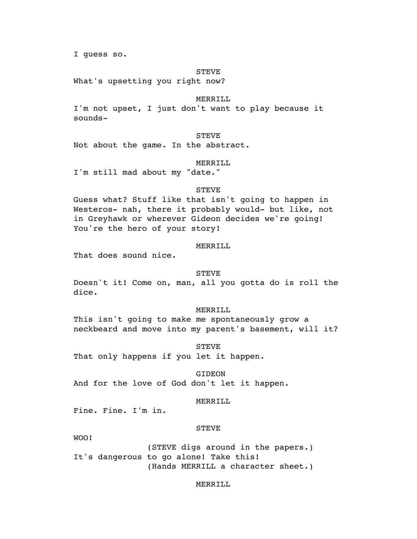I guess so.

## STEVE

What's upsetting you right now?

### MERRILL

I'm not upset, I just don't want to play because it sounds-

## STEVE

Not about the game. In the abstract.

#### MERRILL

I'm still mad about my "date."

### STEVE

Guess what? Stuff like that isn't going to happen in Westeros- nah, there it probably would- but like, not in Greyhawk or wherever Gideon decides we're going! You're the hero of your story!

## MERRILL

That does sound nice.

### STEVE

Doesn't it! Come on, man, all you gotta do is roll the dice.

### MERRILL

This isn't going to make me spontaneously grow a neckbeard and move into my parent's basement, will it?

STEVE

That only happens if you let it happen.

GIDEON

And for the love of God don't let it happen.

## MERRILL

Fine. Fine. I'm in.

## **STEVE**

WOO!

(STEVE digs around in the papers.) It's dangerous to go alone! Take this! (Hands MERRILL a character sheet.)

## MERRILL.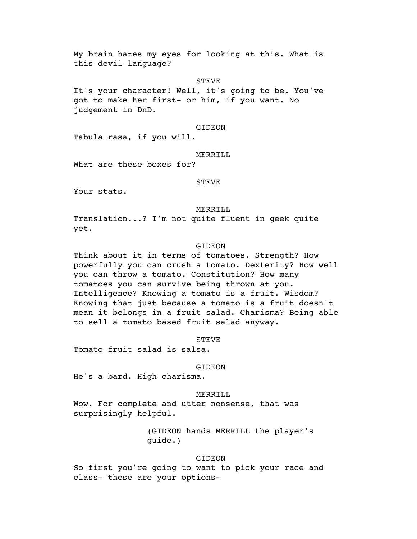My brain hates my eyes for looking at this. What is this devil language?

## **STEVE**

It's your character! Well, it's going to be. You've got to make her first- or him, if you want. No judgement in DnD.

## GIDEON

Tabula rasa, if you will.

### MERRILL

What are these boxes for?

## STEVE

Your stats.

## MERRILL

Translation...? I'm not quite fluent in geek quite yet.

## GIDEON

Think about it in terms of tomatoes. Strength? How powerfully you can crush a tomato. Dexterity? How well you can throw a tomato. Constitution? How many tomatoes you can survive being thrown at you. Intelligence? Knowing a tomato is a fruit. Wisdom? Knowing that just because a tomato is a fruit doesn't mean it belongs in a fruit salad. Charisma? Being able to sell a tomato based fruit salad anyway.

### STEVE

Tomato fruit salad is salsa.

#### GIDEON

He's a bard. High charisma.

### MERRILL

Wow. For complete and utter nonsense, that was surprisingly helpful.

> (GIDEON hands MERRILL the player's guide.)

### GIDEON

So first you're going to want to pick your race and class- these are your options-